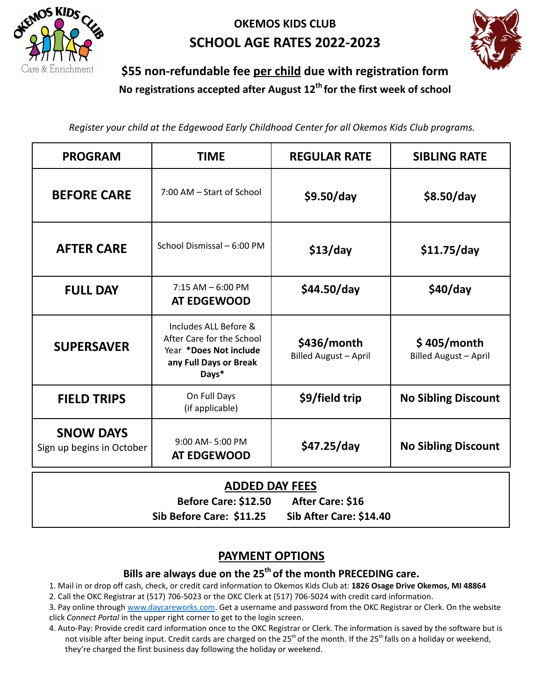

# **OKEMOS KIDS CLUB SCHOOL AGE RATES 2022-2023**



# **\$55 non-refundable fee per child due with registration form No registrations accepted after August 12 th for the first week of school**

*Register your child at the Edgewood Early Childhood Center for all Okemos Kids Club programs.*

| <b>PROGRAM</b>                                | TIME                                                                                                            | <b>REGULAR RATE</b>                         | <b>SIBLING RATE</b>                         |
|-----------------------------------------------|-----------------------------------------------------------------------------------------------------------------|---------------------------------------------|---------------------------------------------|
| <b>BEFORE CARE</b>                            | 7:00 AM - Start of School                                                                                       | \$9.50/day                                  | \$8.50/day                                  |
| <b>AFTER CARE</b>                             | School Dismissal - 6:00 PM                                                                                      | \$13/day                                    | \$11.75/day                                 |
| <b>FULL DAY</b>                               | $7:15$ AM $-6:00$ PM<br>AT EDGEWOOD                                                                             | \$44.50/day                                 | \$40/day                                    |
| <b>SUPERSAVER</b>                             | Includes ALL Before &<br>After Care for the School<br>Year *Does Not include<br>any Full Days or Break<br>Days* | \$436/month<br><b>Billed August - April</b> | \$405/month<br><b>Billed August - April</b> |
| <b>FIELD TRIPS</b>                            | On Full Days<br>(if applicable)                                                                                 | \$9/field trip                              | <b>No Sibling Discount</b>                  |
| <b>SNOW DAYS</b><br>Sign up begins in October | $9:00$ AM- $5:00$ PM<br><b>AT EDGEWOOD</b>                                                                      | \$47.25/day                                 | <b>No Sibling Discount</b>                  |

#### **ADDED DAY FEES**

**Before Care: \$12.50 After Care: \$16 Sib Before Care: \$11.25 Sib After Care: \$14.40**

## **PAYMENT OPTIONS**

#### **Bills are always due on the 25 th of the month PRECEDING care.**

1. Mail in or drop off cash, check, or credit card information to Okemos Kids Club at: **1826 Osage Drive Okemos, MI 48864**

2. Call the OKC Registrar at (517) 706-5023 or the OKC Clerk at (517) 706-5024 with credit card information.

3. Pay online through www.daycareworks.com. Get a username and password from the OKC Registrar or Clerk. On the website click *Connect Portal* in the upper right corner to get to the login screen.

4. Auto-Pay: Provide credit card information once to the OKC Registrar or Clerk. The information is saved by the software but is not visible after being input. Credit cards are charged on the 25<sup>th</sup> of the month. If the 25<sup>th</sup> falls on a holiday or weekend, they're charged the first business day following the holiday or weekend.